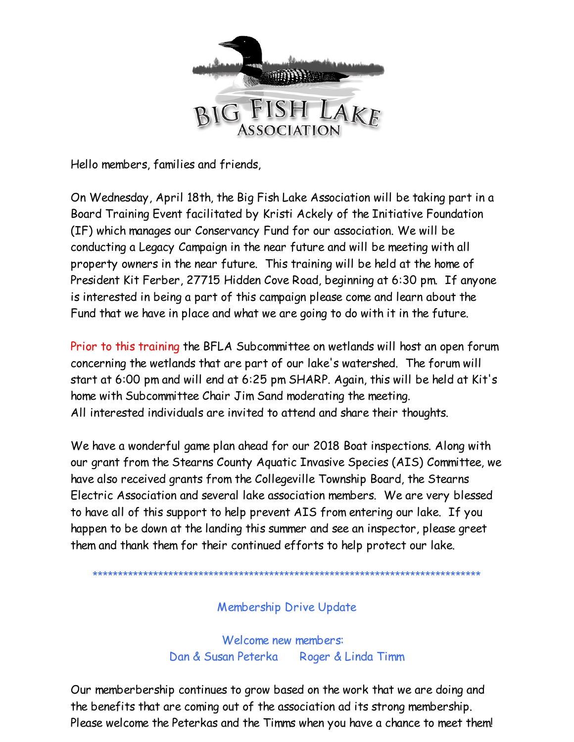

Hello members, families and friends,

On Wednesday, April 18th, the Big Fish Lake Association will be taking part in a Board Training Event facilitated by Kristi Ackely of the Initiative Foundation (IF) which manages our Conservancy Fund for our association. We will be conducting a Legacy Campaign in the near future and will be meeting with all property owners in the near future. This training will be held at the home of President Kit Ferber, 27715 Hidden Cove Road, beginning at 6:30 pm. If anyone is interested in being a part of this campaign please come and learn about the Fund that we have in place and what we are going to do with it in the future.

Prior to this training the BFLA Subcommittee on wetlands will host an open forum concerning the wetlands that are part of our lake's watershed. The forum will start at 6:00 pm and will end at 6:25 pm SHARP. Again, this will be held at Kit's home with Subcommittee Chair Jim Sand moderating the meeting. All interested individuals are invited to attend and share their thoughts.

We have a wonderful game plan ahead for our 2018 Boat inspections. Along with our grant from the Stearns County Aquatic Invasive Species (AIS) Committee, we have also received grants from the Collegeville Township Board, the Stearns Electric Association and several lake association members. We are very blessed to have all of this support to help prevent AIS from entering our lake. If you happen to be down at the landing this summer and see an inspector, please greet them and thank them for their continued efforts to help protect our lake.

\*\*\*\*\*\*\*\*\*\*\*\*\*\*\*\*\*\*\*\*\*\*\*\*\*\*\*\*\*\*

## Membership Drive Update

Welcome new members: Dan & Susan Peterka Roger & Linda Timm

Our memberbership continues to grow based on the work that we are doing and the benefits that are coming out of the association ad its strong membership. Please welcome the Peterkas and the Timms when you have a chance to meet them!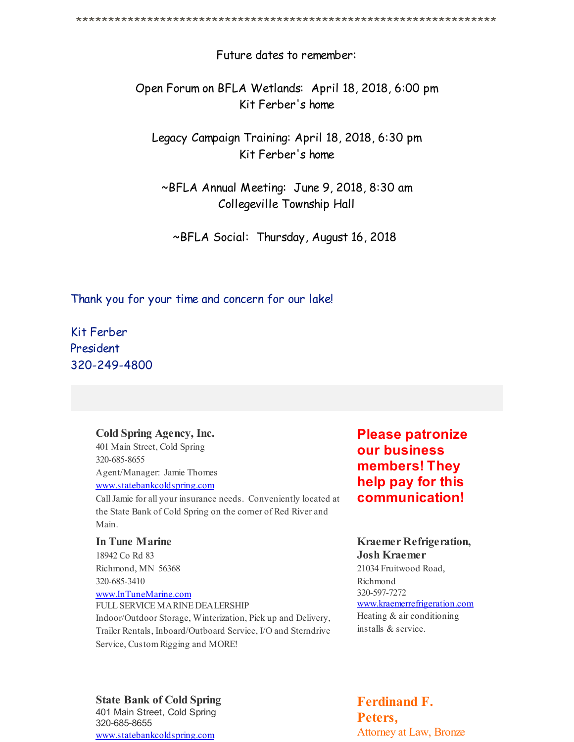Future dates to remember:

Open Forum on BFLA Wetlands: April 18, 2018, 6:00 pm Kit Ferber's home

Legacy Campaign Training: April 18, 2018, 6:30 pm Kit Ferber's home

~BFLA Annual Meeting: June 9, 2018, 8:30 am Collegeville Township Hall

~BFLA Social: Thursday, August 16, 2018

Thank you for your time and concern for our lake!

Kit Ferber President 320-249-4800

### **Cold Spring Agency, Inc.**

401 Main Street, Cold Spring 320-685-8655 Agent/Manager: Jamie Thomes [www.statebankcoldspring.com](http://r20.rs6.net/tn.jsp?f=001uRc3gGNWb-bHTMHMqkHUw9RxS879FwJLIFzFld47Z__l58RjCVB1kGnKUUHwkuv4N3sHg0fgvdiPZzLt35ds-xM30-rKsaMQNBLKK1lRNE8F3h3hdpDJIQu0D_J6sPyoSKjmdR5Da3i-2bhhPa4nvUvYgAkkg3mKeCOr0anpNvQshzhQEa-VcQ==&c=&ch=)

CallJamie for all your insurance needs. Conveniently located at

the State Bank of Cold Spring on the corner of Red River and Main.

#### **In Tune Marine**

18942 Co Rd 83 Richmond, MN 56368 320-685-3410

[www.InTuneMarine.com](http://r20.rs6.net/tn.jsp?f=001uRc3gGNWb-bHTMHMqkHUw9RxS879FwJLIFzFld47Z__l58RjCVB1kGnKUUHwkuv4SkYB0HpNQlRMuBjdzC4rUIWfD5L32avXon1h2nSzuwTR8VW3oH7i2p801rK2UFaLOMtvlJrSv0QaIDcmbIM1CNKfehuDpNH1fAfXJzDx3vM=&c=&ch=)

FULL SERVICE MARINE DEALERSHIP Indoor/Outdoor Storage, Winterization, Pick up and Delivery, Trailer Rentals, Inboard/Outboard Service, I/O and Sterndrive Service, Custom Rigging and MORE!

**Please patronize our business members! They help pay for this communication!**

## **Kraemer Refrigeration, Josh Kraemer**

21034 Fruitwood Road, Richmond 320-597-7272

[www.kraemerrefrigeration.com](http://r20.rs6.net/tn.jsp?f=001uRc3gGNWb-bHTMHMqkHUw9RxS879FwJLIFzFld47Z__l58RjCVB1kGnKUUHwkuv4AGslnjXznVAqF7sODuoSLJ_tVrCmop93BarkuwhHvirwKYcCOtjejWg-fYCp5SF4IBgDxrxq0S1BIgzfdLtCNDApsbSmlg9NSESL822aXIWjDUfxYZwbvA==&c=&ch=) Heating & air conditioning installs & service.

**State Bank of Cold Spring** 401 Main Street, Cold Spring 320-685-8655 [www.statebankcoldspring.com](http://r20.rs6.net/tn.jsp?f=001uRc3gGNWb-bHTMHMqkHUw9RxS879FwJLIFzFld47Z__l58RjCVB1kGnKUUHwkuv4N3sHg0fgvdiPZzLt35ds-xM30-rKsaMQNBLKK1lRNE8F3h3hdpDJIQu0D_J6sPyoSKjmdR5Da3i-2bhhPa4nvUvYgAkkg3mKeCOr0anpNvQshzhQEa-VcQ==&c=&ch=)

## **Ferdinand F. Peters,** Attorney at Law, Bronze